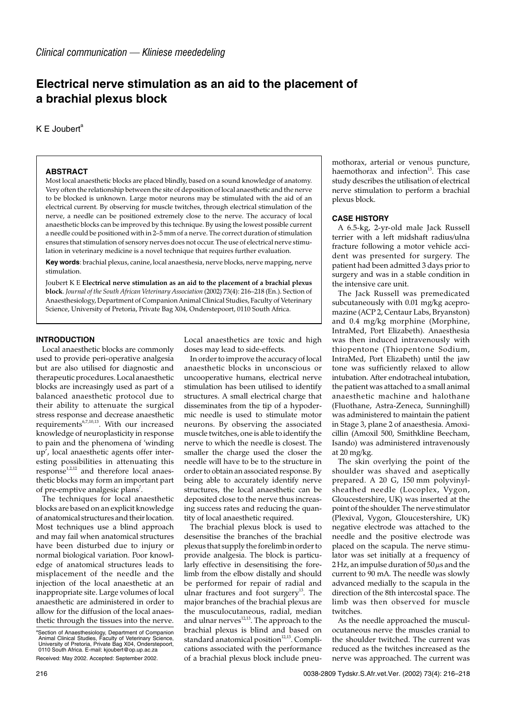# **Electrical nerve stimulation as an aid to the placement of a brachial plexus block**

 $K \mathsf{E}$  Joubert<sup>a</sup>

## **ABSTRACT**

Most local anaesthetic blocks are placed blindly, based on a sound knowledge of anatomy. Very often the relationship between the site of deposition of local anaesthetic and the nerve to be blocked is unknown. Large motor neurons may be stimulated with the aid of an electrical current. By observing for muscle twitches, through electrical stimulation of the nerve, a needle can be positioned extremely close to the nerve. The accuracy of local anaesthetic blocks can be improved by this technique. By using the lowest possible current a needle could be positioned with in 2–5 mm of a nerve. The correct duration of stimulation ensures that stimulation of sensory nerves does not occur. The use of electrical nerve stimulation in veterinary medicine is a novel technique that requires further evaluation.

**Key words**: brachial plexus, canine, local anaesthesia, nerve blocks, nerve mapping, nerve stimulation.

Joubert K E **Electrical nerve stimulation as an aid to the placement of a brachial plexus block**. *Journal of the South African Veterinary Association* (2002) 73(4): 216–218 (En.). Section of Anaesthesiology, Department of Companion Animal Clinical Studies, Faculty of Veterinary Science, University of Pretoria, Private Bag X04, Onderstepoort, 0110 South Africa.

## **INTRODUCTION**

Local anaesthetic blocks are commonly used to provide peri-operative analgesia but are also utilised for diagnostic and therapeutic procedures. Local anaesthetic blocks are increasingly used as part of a balanced anaesthetic protocol due to their ability to attenuate the surgical stress response and decrease anaesthetic requirements $6,7,10,13$ . With our increased knowledge of neuroplasticity in response to pain and the phenomena of 'winding up', local anaesthetic agents offer interesting possibilities in attenuating this  $respose<sup>1,2,12</sup>$  and therefore local anaesthetic blocks may form an important part of pre-emptive analgesic plans<sup>7</sup>.

The techniques for local anaesthetic blocks are based on an explicit knowledge of anatomical structures and their location. Most techniques use a blind approach and may fail when anatomical structures have been disturbed due to injury or normal biological variation. Poor knowledge of anatomical structures leads to misplacement of the needle and the injection of the local anaesthetic at an inappropriate site. Large volumes of local anaesthetic are administered in order to allow for the diffusion of the local anaesthetic through the tissues into the nerve.

Received: May 2002. Accepted: September 2002.

Local anaesthetics are toxic and high doses may lead to side-effects.

In order to improve the accuracy of local anaesthetic blocks in unconscious or uncooperative humans, electrical nerve stimulation has been utilised to identify structures. A small electrical charge that disseminates from the tip of a hypodermic needle is used to stimulate motor neurons. By observing the associated muscle twitches, one is able to identify the nerve to which the needle is closest. The smaller the charge used the closer the needle will have to be to the structure in order to obtain an associated response. By being able to accurately identify nerve structures, the local anaesthetic can be deposited close to the nerve thus increasing success rates and reducing the quantity of local anaesthetic required.

The brachial plexus block is used to desensitise the branches of the brachial plexus that supply the forelimb in order to provide analgesia. The block is particularly effective in desensitising the forelimb from the elbow distally and should be performed for repair of radial and ulnar fractures and foot surgery<sup>13</sup>. The major branches of the brachial plexus are the musculocutaneous, radial, median and ulnar nerves<sup>12,13</sup>. The approach to the brachial plexus is blind and based on standard anatomical position $12,13$ . Complications associated with the performance of a brachial plexus block include pneumothorax, arterial or venous puncture, haemothorax and infection<sup>13</sup>. This case study describes the utilisation of electrical nerve stimulation to perform a brachial plexus block.

# **CASE HISTORY**

A 6.5-kg, 2-yr-old male Jack Russell terrier with a left midshaft radius/ulna fracture following a motor vehicle accident was presented for surgery. The patient had been admitted 3 days prior to surgery and was in a stable condition in the intensive care unit.

The Jack Russell was premedicated subcutaneously with 0.01 mg/kg acepromazine (ACP 2, Centaur Labs, Bryanston) and 0.4 mg/kg morphine (Morphine, IntraMed, Port Elizabeth). Anaesthesia was then induced intravenously with thiopentone (Thiopentone Sodium, IntraMed, Port Elizabeth) until the jaw tone was sufficiently relaxed to allow intubation. After endotracheal intubation, the patient was attached to a small animal anaesthetic machine and halothane (Fluothane, Astra-Zeneca, Sunninghill) was administered to maintain the patient in Stage 3, plane 2 of anaesthesia. Amoxicillin (Amoxil 500, Smithkline Beecham, Isando) was administered intravenously at 20 mg/kg.

The skin overlying the point of the shoulder was shaved and aseptically prepared. A 20 G, 150 mm polyvinylsheathed needle (Locoplex, Vygon, Gloucestershire, UK) was inserted at the point of the shoulder. The nerve stimulator (Plexival, Vygon, Gloucestershire, UK) negative electrode was attached to the needle and the positive electrode was placed on the scapula. The nerve stimulator was set initially at a frequency of 2 Hz, an impulse duration of  $50 \mu s$  and the current to 90 mA. The needle was slowly advanced medially to the scapula in the direction of the 8th intercostal space. The limb was then observed for muscle twitches.

As the needle approached the musculocutaneous nerve the muscles cranial to the shoulder twitched. The current was reduced as the twitches increased as the nerve was approached. The current was

a Section of Anaesthesiology, Department of Companion Animal Clinical Studies, Faculty of Veterinary Science, University of Pretoria, Private Bag X04, Onderstepoort, 0110 South Africa. E-mail: kjoubert@op.up.ac.za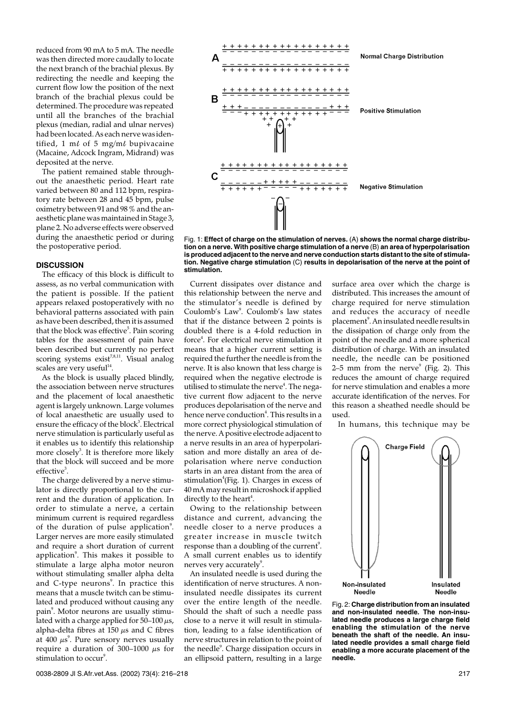reduced from 90 mA to 5 mA. The needle was then directed more caudally to locate the next branch of the brachial plexus. By redirecting the needle and keeping the current flow low the position of the next branch of the brachial plexus could be determined. The procedure was repeated until all the branches of the brachial plexus (median, radial and ulnar nerves) had been located. As each nerve was identified, 1 ml of 5 mg/ml bupivacaine (Macaine, Adcock Ingram, Midrand) was deposited at the nerve.

The patient remained stable throughout the anaesthetic period. Heart rate varied between 80 and 112 bpm, respiratory rate between 28 and 45 bpm, pulse oximetry between 91 and 98 % and the anaesthetic plane was maintained in Stage 3, plane 2. No adverse effects were observed during the anaesthetic period or during the postoperative period.

### **DISCUSSION**

The efficacy of this block is difficult to assess, as no verbal communication with the patient is possible. If the patient appears relaxed postoperatively with no behavioral patterns associated with pain as have been described, then it is assumed that the block was effective $^5$ . Pain scoring tables for the assessment of pain have been described but currently no perfect scoring systems exist<sup>7,8,11</sup>. Visual analog scales are very useful $14$ 

As the block is usually placed blindly, the association between nerve structures and the placement of local anaesthetic agent is largely unknown. Large volumes of local anaesthetic are usually used to ensure the efficacy of the block<sup>3</sup>. Electrical nerve stimulation is particularly useful as it enables us to identify this relationship more closely<sup>3</sup>. It is therefore more likely that the block will succeed and be more effective<sup>3</sup>.

The charge delivered by a nerve stimulator is directly proportional to the current and the duration of application. In order to stimulate a nerve, a certain minimum current is required regardless of the duration of pulse application<sup>9</sup>. Larger nerves are more easily stimulated and require a short duration of current application<sup>9</sup>. This makes it possible to stimulate a large alpha motor neuron without stimulating smaller alpha delta and C-type neurons<sup>9</sup>. In practice this means that a muscle twitch can be stimulated and produced without causing any pain<sup>9</sup>. Motor neurons are usually stimulated with a charge applied for  $50-100 \mu s$ , alpha-delta fibres at  $150 \text{ }\mu\text{s}$  and C fibres at  $400 \ \mu s^9$ . Pure sensory nerves usually require a duration of 300–1000  $\mu$ s for stimulation to occur<sup>9</sup>.



Fig. 1: **Effect of charge on the stimulation of nerves.** (A) **shows the normal charge distribution on a nerve. With positive charge stimulation of a nerve** (B) **an area of hyperpolarisation is produced adjacent to the nerve and nerve conduction starts distant to the site of stimulation. Negative charge stimulation** (C) **results in depolarisation of the nerve at the point of stimulation.**

Current dissipates over distance and this relationship between the nerve and the stimulator's needle is defined by Coulomb's Law<sup>9</sup>. Coulomb's law states that if the distance between 2 points is doubled there is a 4-fold reduction in force<sup>4</sup>. For electrical nerve stimulation it means that a higher current setting is required the further the needle is from the nerve. It is also known that less charge is required when the negative electrode is utilised to stimulate the nerve<sup>4</sup>. The negative current flow adjacent to the nerve produces depolarisation of the nerve and hence nerve conduction<sup>4</sup>. This results in a more correct physiological stimulation of the nerve. A positive electrode adjacent to a nerve results in an area of hyperpolarisation and more distally an area of depolarisation where nerve conduction starts in an area distant from the area of stimulation<sup>4</sup>(Fig. 1). Charges in excess of 40 mA may result in microshock if applied directly to the heart<sup>4</sup>.

Owing to the relationship between distance and current, advancing the needle closer to a nerve produces a greater increase in muscle twitch response than a doubling of the current $\lq$ . A small current enables us to identify nerves very accurately $9$ .

An insulated needle is used during the identification of nerve structures. A noninsulated needle dissipates its current over the entire length of the needle. Should the shaft of such a needle pass close to a nerve it will result in stimulation, leading to a false identification of nerve structures in relation to the point of the needle<sup>9</sup>. Charge dissipation occurs in an ellipsoid pattern, resulting in a large surface area over which the charge is distributed. This increases the amount of charge required for nerve stimulation and reduces the accuracy of needle placement<sup>9</sup>. An insulated needle results in the dissipation of charge only from the point of the needle and a more spherical distribution of charge. With an insulated needle, the needle can be positioned 2–5 mm from the nerve $9$  (Fig. 2). This reduces the amount of charge required for nerve stimulation and enables a more accurate identification of the nerves. For this reason a sheathed needle should be used.

In humans, this technique may be



Fig. 2: **Charge distribution from an insulated and non-insulated needle. The non-insulated needle produces a large charge field enabling the stimulation of the nerve beneath the shaft of the needle. An insulated needle provides a small charge field enabling a more accurate placement of the needle.**